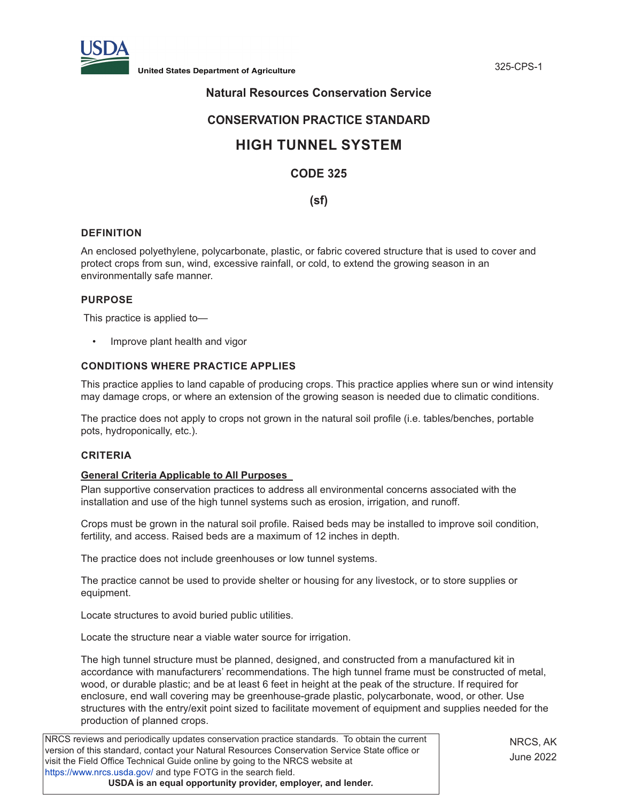

**United States Department of Agriculture** 325-CPS-1

## **Natural Resources Conservation Service**

## **CONSERVATION PRACTICE STANDARD**

# **HIGH TUNNEL SYSTEM**

## **CODE 325**

### **(sf)**

#### **DEFINITION**

An enclosed polyethylene, polycarbonate, plastic, or fabric covered structure that is used to cover and protect crops from sun, wind, excessive rainfall, or cold, to extend the growing season in an environmentally safe manner.

#### **PURPOSE**

This practice is applied to—

• Improve plant health and vigor

#### **CONDITIONS WHERE PRACTICE APPLIES**

This practice applies to land capable of producing crops. This practice applies where sun or wind intensity may damage crops, or where an extension of the growing season is needed due to climatic conditions.

The practice does not apply to crops not grown in the natural soil profile (i.e. tables/benches, portable pots, hydroponically, etc.).

#### **CRITERIA**

#### **General Criteria Applicable to All Purposes**

Plan supportive conservation practices to address all environmental concerns associated with the installation and use of the high tunnel systems such as erosion, irrigation, and runoff.

Crops must be grown in the natural soil profile. Raised beds may be installed to improve soil condition, fertility, and access. Raised beds are a maximum of 12 inches in depth.

The practice does not include greenhouses or low tunnel systems.

The practice cannot be used to provide shelter or housing for any livestock, or to store supplies or equipment.

Locate structures to avoid buried public utilities.

Locate the structure near a viable water source for irrigation.

The high tunnel structure must be planned, designed, and constructed from a manufactured kit in accordance with manufacturers' recommendations. The high tunnel frame must be constructed of metal, wood, or durable plastic; and be at least 6 feet in height at the peak of the structure. If required for enclosure, end wall covering may be greenhouse-grade plastic, polycarbonate, wood, or other. Use structures with the entry/exit point sized to facilitate movement of equipment and supplies needed for the production of planned crops.

NRCS reviews and periodically updates conservation practice standards. To obtain the current version of this standard, contact your Natural Resources Conservation Service State office or visit the Field Office Technical Guide online by going to the NRCS website at <https://www.nrcs.usda.gov/>and type FOTG in the search field. **USDA is an equal opportunity provider, employer, and lender.**

NRCS, AK June 2022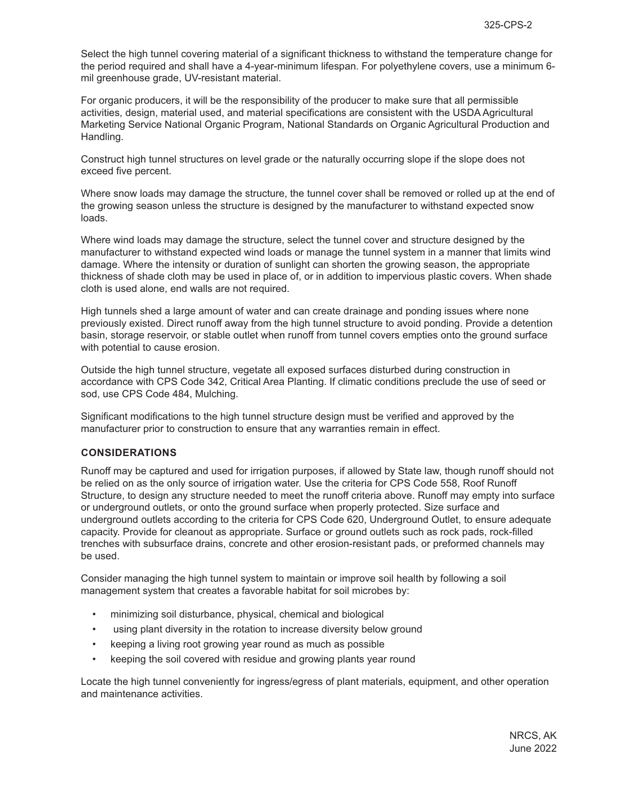Select the high tunnel covering material of a significant thickness to withstand the temperature change for the period required and shall have a 4-year-minimum lifespan. For polyethylene covers, use a minimum 6 mil greenhouse grade, UV-resistant material.

For organic producers, it will be the responsibility of the producer to make sure that all permissible activities, design, material used, and material specifications are consistent with the USDA Agricultural Marketing Service National Organic Program, National Standards on Organic Agricultural Production and Handling.

Construct high tunnel structures on level grade or the naturally occurring slope if the slope does not exceed five percent.

Where snow loads may damage the structure, the tunnel cover shall be removed or rolled up at the end of the growing season unless the structure is designed by the manufacturer to withstand expected snow loads.

Where wind loads may damage the structure, select the tunnel cover and structure designed by the manufacturer to withstand expected wind loads or manage the tunnel system in a manner that limits wind damage. Where the intensity or duration of sunlight can shorten the growing season, the appropriate thickness of shade cloth may be used in place of, or in addition to impervious plastic covers. When shade cloth is used alone, end walls are not required.

High tunnels shed a large amount of water and can create drainage and ponding issues where none previously existed. Direct runoff away from the high tunnel structure to avoid ponding. Provide a detention basin, storage reservoir, or stable outlet when runoff from tunnel covers empties onto the ground surface with potential to cause erosion.

Outside the high tunnel structure, vegetate all exposed surfaces disturbed during construction in accordance with CPS Code 342, Critical Area Planting. If climatic conditions preclude the use of seed or sod, use CPS Code 484, Mulching.

Significant modifications to the high tunnel structure design must be verified and approved by the manufacturer prior to construction to ensure that any warranties remain in effect.

#### **CONSIDERATIONS**

Runoff may be captured and used for irrigation purposes, if allowed by State law, though runoff should not be relied on as the only source of irrigation water. Use the criteria for CPS Code 558, Roof Runoff Structure, to design any structure needed to meet the runoff criteria above. Runoff may empty into surface or underground outlets, or onto the ground surface when properly protected. Size surface and underground outlets according to the criteria for CPS Code 620, Underground Outlet, to ensure adequate capacity. Provide for cleanout as appropriate. Surface or ground outlets such as rock pads, rock-filled trenches with subsurface drains, concrete and other erosion-resistant pads, or preformed channels may be used.

Consider managing the high tunnel system to maintain or improve soil health by following a soil management system that creates a favorable habitat for soil microbes by:

- minimizing soil disturbance, physical, chemical and biological
- using plant diversity in the rotation to increase diversity below ground
- keeping a living root growing year round as much as possible
- keeping the soil covered with residue and growing plants year round

Locate the high tunnel conveniently for ingress/egress of plant materials, equipment, and other operation and maintenance activities.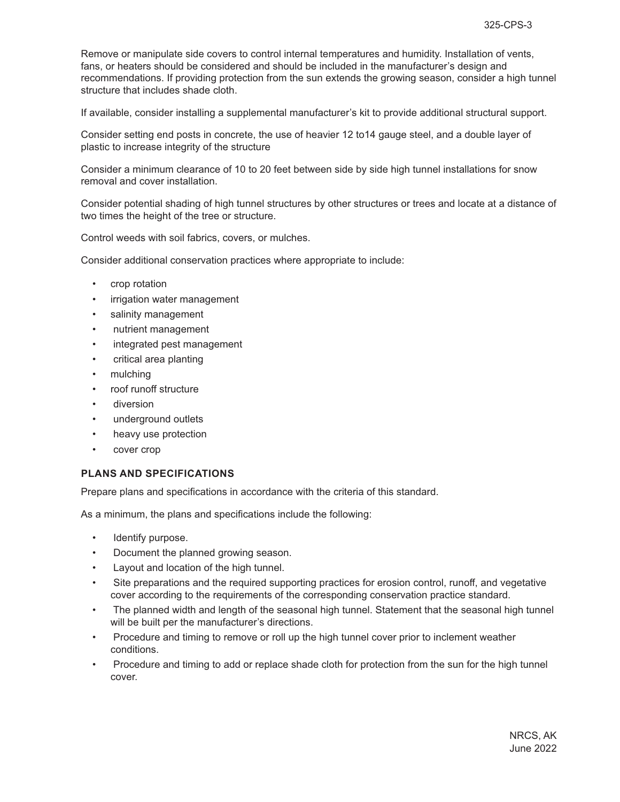Remove or manipulate side covers to control internal temperatures and humidity. Installation of vents, fans, or heaters should be considered and should be included in the manufacturer's design and recommendations. If providing protection from the sun extends the growing season, consider a high tunnel structure that includes shade cloth.

If available, consider installing a supplemental manufacturer's kit to provide additional structural support.

Consider setting end posts in concrete, the use of heavier 12 to14 gauge steel, and a double layer of plastic to increase integrity of the structure

Consider a minimum clearance of 10 to 20 feet between side by side high tunnel installations for snow removal and cover installation.

Consider potential shading of high tunnel structures by other structures or trees and locate at a distance of two times the height of the tree or structure.

Control weeds with soil fabrics, covers, or mulches.

Consider additional conservation practices where appropriate to include:

- crop rotation
- irrigation water management
- salinity management
- nutrient management
- integrated pest management
- critical area planting
- mulching
- roof runoff structure
- diversion
- underground outlets
- heavy use protection
- cover crop

#### **PLANS AND SPECIFICATIONS**

Prepare plans and specifications in accordance with the criteria of this standard.

As a minimum, the plans and specifications include the following:

- Identify purpose.
- Document the planned growing season.
- Layout and location of the high tunnel.
- Site preparations and the required supporting practices for erosion control, runoff, and vegetative cover according to the requirements of the corresponding conservation practice standard.
- The planned width and length of the seasonal high tunnel. Statement that the seasonal high tunnel will be built per the manufacturer's directions.
- Procedure and timing to remove or roll up the high tunnel cover prior to inclement weather conditions.
- Procedure and timing to add or replace shade cloth for protection from the sun for the high tunnel cover.